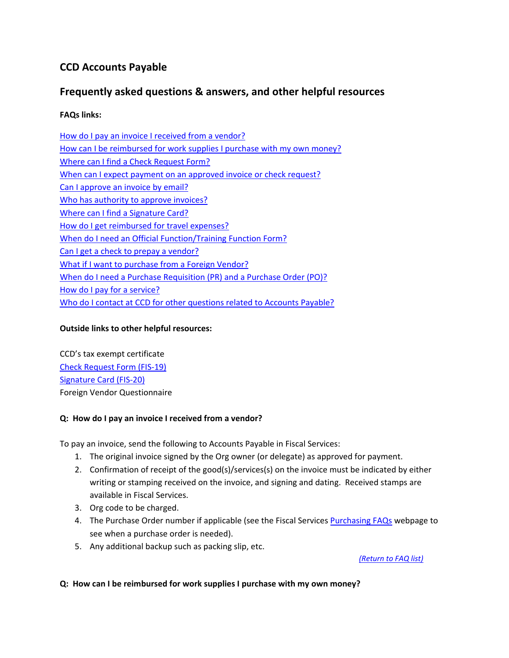# **CCD Accounts Payable**

# **Frequently asked questions & answers, and other helpful resources**

# **FAQs links:**

How do I pay an invoice I received from a vendor? How can I be reimbursed for work supplies I purchase with my own money? Where can I find a Check Request Form? When can I expect payment on an approved invoice or check request? Can I approve an invoice by email? Who has authority to approve invoices? Where can I find a Signature Card? How do I get reimbursed for travel expenses? When do I need an Official Function/Training Function Form? Can I get a check to prepay a vendor? What if I want to purchase from a Foreign Vendor? When do I need a Purchase Requisition (PR) and a Purchase Order (PO)? How do I pay for a service? Who do I contact at CCD for other questions related to Accounts Payable?

## **Outside links to other helpful resources:**

CCD's tax exempt certificate Check Request Form (FIS‐19) Signature Card (FIS‐20) Foreign Vendor Questionnaire

## **Q: How do I pay an invoice I received from a vendor?**

To pay an invoice, send the following to Accounts Payable in Fiscal Services:

- 1. The original invoice signed by the Org owner (or delegate) as approved for payment.
- 2. Confirmation of receipt of the good(s)/services(s) on the invoice must be indicated by either writing or stamping received on the invoice, and signing and dating. Received stamps are available in Fiscal Services.
- 3. Org code to be charged.
- 4. The Purchase Order number if applicable (see the Fiscal Services Purchasing FAQs webpage to see when a purchase order is needed).
- 5. Any additional backup such as packing slip, etc.

*(Return to FAQ list)*

#### **Q: How can I be reimbursed for work supplies I purchase with my own money?**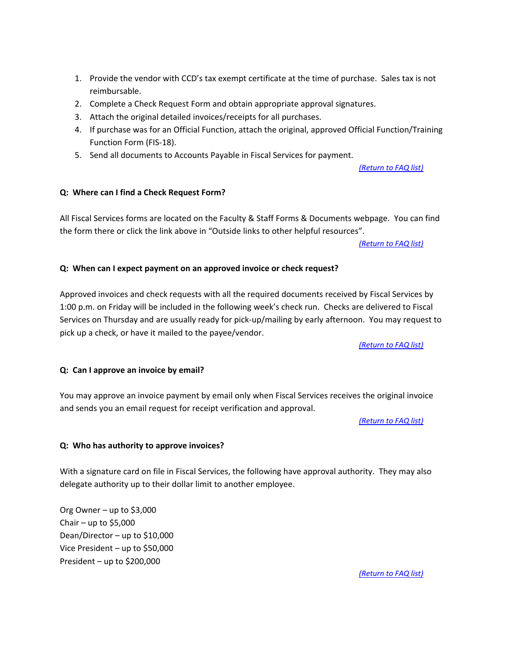- 1. Provide the vendor with CCD's tax exempt certificate at the time of purchase. Sales tax is not reimbursable.
- 2. Complete a Check Request Form and obtain appropriate approval signatures.
- 3. Attach the original detailed invoices/receipts for all purchases.
- 4. If purchase was for an Official Function, attach the original, approved Official Function/Training Function Form (FIS‐18).
- 5. Send all documents to Accounts Payable in Fiscal Services for payment.

*(Return to FAQ list)*

#### **Q: Where can I find a Check Request Form?**

All Fiscal Services forms are located on the Faculty & Staff Forms & Documents webpage. You can find the form there or click the link above in "Outside links to other helpful resources".

*(Return to FAQ list)*

#### **Q: When can I expect payment on an approved invoice or check request?**

Approved invoices and check requests with all the required documents received by Fiscal Services by 1:00 p.m. on Friday will be included in the following week's check run. Checks are delivered to Fiscal Services on Thursday and are usually ready for pick‐up/mailing by early afternoon. You may request to pick up a check, or have it mailed to the payee/vendor.

*(Return to FAQ list)*

#### **Q: Can I approve an invoice by email?**

You may approve an invoice payment by email only when Fiscal Services receives the original invoice and sends you an email request for receipt verification and approval.

*(Return to FAQ list)*

#### **Q: Who has authority to approve invoices?**

With a signature card on file in Fiscal Services, the following have approval authority. They may also delegate authority up to their dollar limit to another employee.

Org Owner – up to \$3,000 Chair – up to  $$5,000$ Dean/Director – up to \$10,000 Vice President – up to \$50,000 President – up to \$200,000

*(Return to FAQ list)*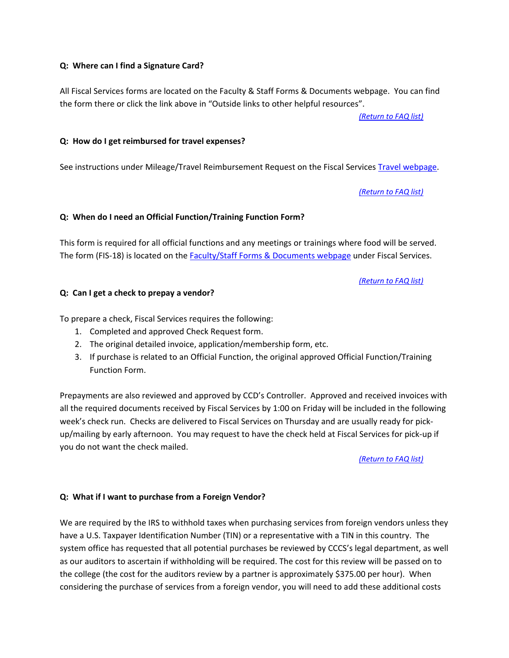#### **Q: Where can I find a Signature Card?**

All Fiscal Services forms are located on the Faculty & Staff Forms & Documents webpage. You can find the form there or click the link above in "Outside links to other helpful resources".

*(Return to FAQ list)*

#### **Q: How do I get reimbursed for travel expenses?**

See instructions under Mileage/Travel Reimbursement Request on the Fiscal Services Travel webpage.

*(Return to FAQ list)*

#### **Q: When do I need an Official Function/Training Function Form?**

This form is required for all official functions and any meetings or trainings where food will be served. The form (FIS-18) is located on the **Faculty/Staff Forms & Documents webpage under Fiscal Services.** 

#### *(Return to FAQ list)*

#### **Q: Can I get a check to prepay a vendor?**

To prepare a check, Fiscal Services requires the following:

- 1. Completed and approved Check Request form.
- 2. The original detailed invoice, application/membership form, etc.
- 3. If purchase is related to an Official Function, the original approved Official Function/Training Function Form.

Prepayments are also reviewed and approved by CCD's Controller. Approved and received invoices with all the required documents received by Fiscal Services by 1:00 on Friday will be included in the following week's check run. Checks are delivered to Fiscal Services on Thursday and are usually ready for pickup/mailing by early afternoon. You may request to have the check held at Fiscal Services for pick‐up if you do not want the check mailed.

*(Return to FAQ list)*

#### **Q: What if I want to purchase from a Foreign Vendor?**

We are required by the IRS to withhold taxes when purchasing services from foreign vendors unless they have a U.S. Taxpayer Identification Number (TIN) or a representative with a TIN in this country. The system office has requested that all potential purchases be reviewed by CCCS's legal department, as well as our auditors to ascertain if withholding will be required. The cost for this review will be passed on to the college (the cost for the auditors review by a partner is approximately \$375.00 per hour). When considering the purchase of services from a foreign vendor, you will need to add these additional costs